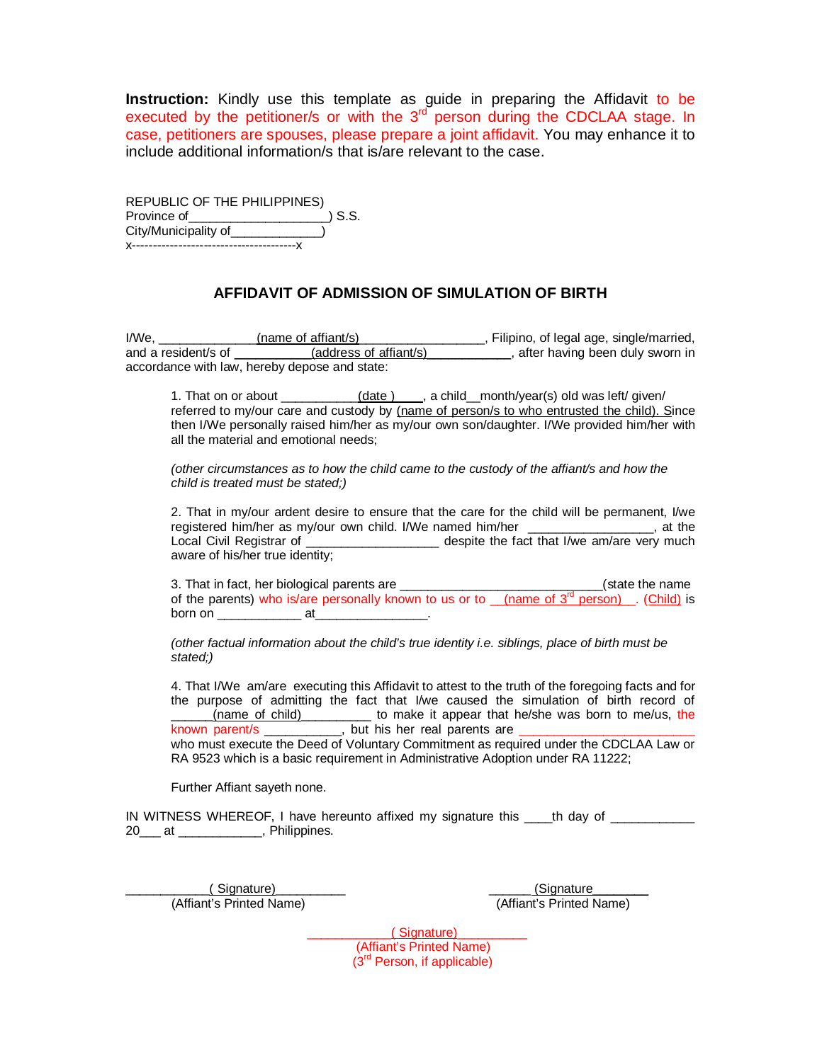**Instruction:** Kindly use this template as guide in preparing the Affidavit to be executed by the petitioner/s or with the  $3<sup>rd</sup>$  person during the CDCLAA stage. In case, petitioners are spouses, please prepare a joint affidavit. You may enhance it to include additional information/s that is/are relevant to the case.

| REPUBLIC OF THE PHILIPPINES) |        |
|------------------------------|--------|
| Province of                  | ) S.S. |
| City/Municipality of         |        |
|                              |        |

## **AFFIDAVIT OF ADMISSION OF SIMULATION OF BIRTH**

I/We, \_\_\_\_\_\_\_\_\_\_\_\_\_\_(name of affiant/s) \_\_\_\_\_\_\_\_\_\_\_\_\_\_\_\_\_\_, Filipino, of legal age, single/married, and a resident/s of \_\_\_\_\_\_\_\_\_\_\_(address of affiant/s) \_\_\_\_\_\_\_\_\_\_\_, after having been duly sworn in accordance with law, hereby depose and state:

1. That on or about \_\_\_\_\_\_\_\_\_\_(date ) , a child\_month/year(s) old was left/ given/ referred to my/our care and custody by (name of person/s to who entrusted the child). Since then I/We personally raised him/her as my/our own son/daughter. I/We provided him/her with all the material and emotional needs;

*(other circumstances as to how the child came to the custody of the affiant/s and how the child is treated must be stated;)*

2. That in my/our ardent desire to ensure that the care for the child will be permanent, I/we registered him/her as my/our own child. I/We named him/her \_\_\_\_\_\_\_\_\_\_\_\_\_\_, at the Local Civil Registrar of \_\_\_\_\_\_\_\_\_\_\_\_\_\_\_\_\_\_\_\_\_\_ despite the fact that I/we am/are very much aware of his/her true identity;

3. That in fact, her biological parents are \_\_\_\_\_\_\_\_\_\_\_\_\_\_\_\_\_\_\_\_\_\_\_\_\_\_\_\_\_\_\_\_(state the name of the parents) who is/are personally known to us or to  $\sqrt{2}$  (name of  $3^{rd}$  person). (Child) is born on \_\_\_\_\_\_\_\_\_\_\_\_ at\_\_\_\_\_\_\_\_\_\_\_\_\_\_\_\_.

*(other factual information about the child's true identity i.e. siblings, place of birth must be stated;)*

4. That I/We am/are executing this Affidavit to attest to the truth of the foregoing facts and for the purpose of admitting the fact that I/we caused the simulation of birth record of \_\_\_\_\_\_(name of child)\_\_\_\_\_\_\_\_\_\_ to make it appear that he/she was born to me/us, the known\_parent/s \_\_\_\_\_\_\_\_\_\_\_\_, but his her real parents are \_\_\_\_\_\_\_\_\_\_\_\_\_\_\_\_\_\_\_\_\_\_\_

who must execute the Deed of Voluntary Commitment as required under the CDCLAA Law or RA 9523 which is a basic requirement in Administrative Adoption under RA 11222;

Further Affiant sayeth none.

IN WITNESS WHEREOF, I have hereunto affixed my signature this \_\_\_\_th day of 20\_\_\_ at \_\_\_\_\_\_\_\_\_\_\_\_, Philippines.

(Affiant's Printed Name) (Affiant's Printed Name)

(Signature) (Signature ) (Signature ) (Signature ) (Signature ) (Signature ) (Signature ) (Signature ) (Signature ) (Signature ) (Signature ) (Signature ) (Signature ) (Signature ) (Signature ) (Signature ) (Signature ) (S

\_\_\_\_\_\_\_\_\_\_\_\_( Signature)\_\_\_\_\_\_\_\_\_\_ (Affiant's Printed Name) (3rd Person, if applicable)